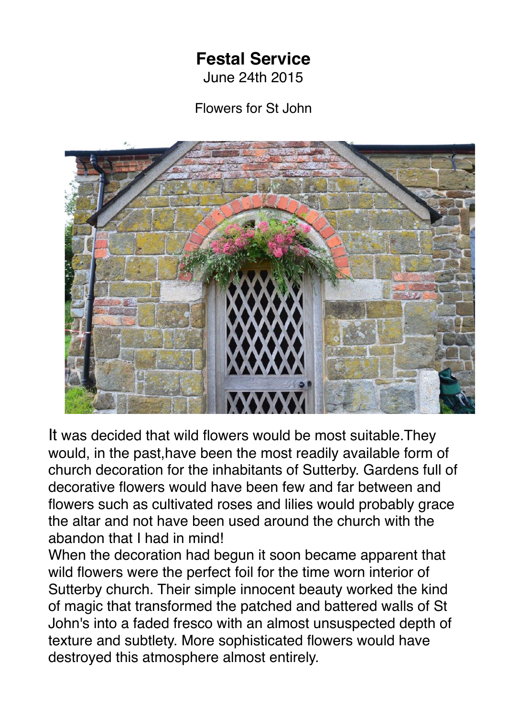## **Festal Service**

June 24th 2015

Flowers for St John



It was decided that wild flowers would be most suitable.They would, in the past,have been the most readily available form of church decoration for the inhabitants of Sutterby. Gardens full of decorative flowers would have been few and far between and flowers such as cultivated roses and lilies would probably grace the altar and not have been used around the church with the abandon that I had in mind!

When the decoration had begun it soon became apparent that wild flowers were the perfect foil for the time worn interior of Sutterby church. Their simple innocent beauty worked the kind of magic that transformed the patched and battered walls of St John's into a faded fresco with an almost unsuspected depth of texture and subtlety. More sophisticated flowers would have destroyed this atmosphere almost entirely.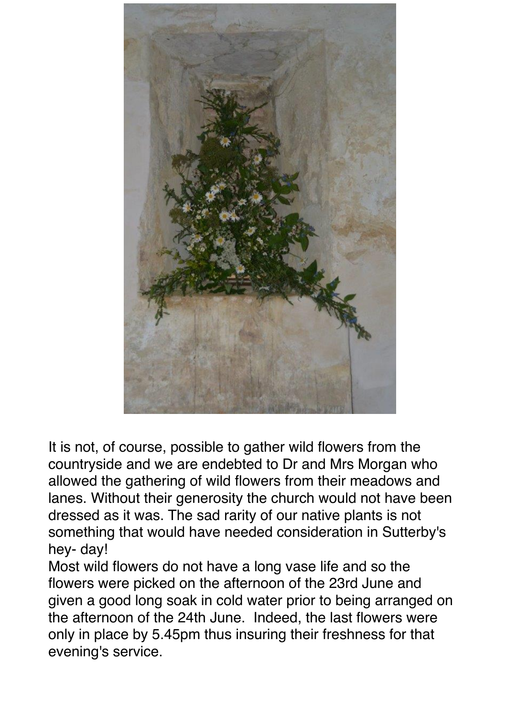

It is not, of course, possible to gather wild flowers from the countryside and we are endebted to Dr and Mrs Morgan who allowed the gathering of wild flowers from their meadows and lanes. Without their generosity the church would not have been dressed as it was. The sad rarity of our native plants is not something that would have needed consideration in Sutterby's hey- day!

Most wild flowers do not have a long vase life and so the flowers were picked on the afternoon of the 23rd June and given a good long soak in cold water prior to being arranged on the afternoon of the 24th June. Indeed, the last flowers were only in place by 5.45pm thus insuring their freshness for that evening's service.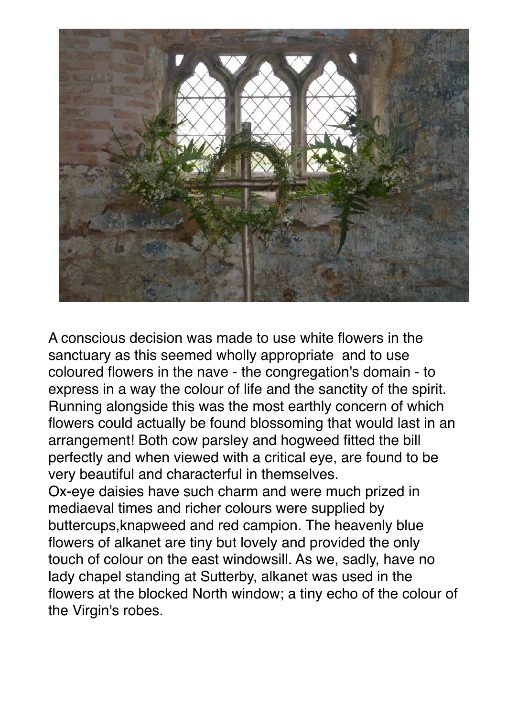

A conscious decision was made to use white flowers in the sanctuary as this seemed wholly appropriate and to use coloured flowers in the nave - the congregation's domain - to express in a way the colour of life and the sanctity of the spirit. Running alongside this was the most earthly concern of which flowers could actually be found blossoming that would last in an arrangement! Both cow parsley and hogweed fitted the bill perfectly and when viewed with a critical eye, are found to be very beautiful and characterful in themselves. Ox-eye daisies have such charm and were much prized in mediaeval times and richer colours were supplied by buttercups,knapweed and red campion. The heavenly blue flowers of alkanet are tiny but lovely and provided the only touch of colour on the east windowsill. As we, sadly, have no lady chapel standing at Sutterby, alkanet was used in the flowers at the blocked North window; a tiny echo of the colour of the Virgin's robes.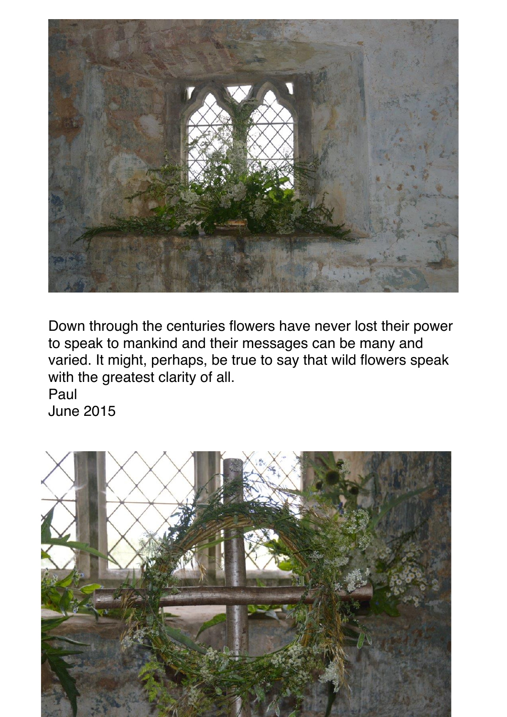

Down through the centuries flowers have never lost their power to speak to mankind and their messages can be many and varied. It might, perhaps, be true to say that wild flowers speak with the greatest clarity of all.

Paul June 2015